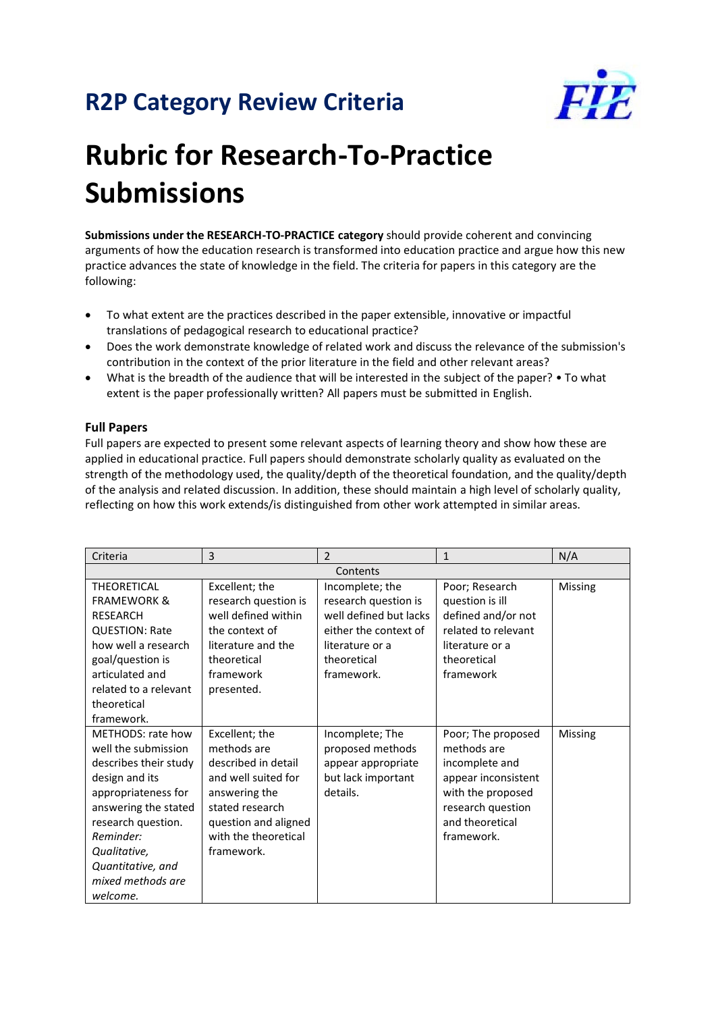## **R2P Category Review Criteria**



## **Rubric for Research-To-Practice Submissions**

**Submissions under the RESEARCH-TO-PRACTICE category** should provide coherent and convincing arguments of how the education research is transformed into education practice and argue how this new practice advances the state of knowledge in the field. The criteria for papers in this category are the following:

- To what extent are the practices described in the paper extensible, innovative or impactful translations of pedagogical research to educational practice?
- Does the work demonstrate knowledge of related work and discuss the relevance of the submission's contribution in the context of the prior literature in the field and other relevant areas?
- What is the breadth of the audience that will be interested in the subject of the paper? To what extent is the paper professionally written? All papers must be submitted in English.

## **Full Papers**

Full papers are expected to present some relevant aspects of learning theory and show how these are applied in educational practice. Full papers should demonstrate scholarly quality as evaluated on the strength of the methodology used, the quality/depth of the theoretical foundation, and the quality/depth of the analysis and related discussion. In addition, these should maintain a high level of scholarly quality, reflecting on how this work extends/is distinguished from other work attempted in similar areas.

| Criteria               | 3                    | $\overline{2}$         | $\mathbf{1}$        | N/A     |  |  |
|------------------------|----------------------|------------------------|---------------------|---------|--|--|
| Contents               |                      |                        |                     |         |  |  |
| <b>THEORETICAL</b>     | Excellent; the       | Incomplete; the        | Poor; Research      | Missing |  |  |
| <b>FRAMEWORK &amp;</b> | research question is | research question is   | question is ill     |         |  |  |
| <b>RESEARCH</b>        | well defined within  | well defined but lacks | defined and/or not  |         |  |  |
| <b>QUESTION: Rate</b>  | the context of       | either the context of  | related to relevant |         |  |  |
| how well a research    | literature and the   | literature or a        | literature or a     |         |  |  |
| goal/question is       | theoretical          | theoretical            | theoretical         |         |  |  |
| articulated and        | framework            | framework.             | framework           |         |  |  |
| related to a relevant  | presented.           |                        |                     |         |  |  |
| theoretical            |                      |                        |                     |         |  |  |
| framework.             |                      |                        |                     |         |  |  |
| METHODS: rate how      | Excellent; the       | Incomplete; The        | Poor; The proposed  | Missing |  |  |
| well the submission    | methods are          | proposed methods       | methods are         |         |  |  |
| describes their study  | described in detail  | appear appropriate     | incomplete and      |         |  |  |
| design and its         | and well suited for  | but lack important     | appear inconsistent |         |  |  |
| appropriateness for    | answering the        | details.               | with the proposed   |         |  |  |
| answering the stated   | stated research      |                        | research question   |         |  |  |
| research question.     | question and aligned |                        | and theoretical     |         |  |  |
| Reminder:              | with the theoretical |                        | framework.          |         |  |  |
| Qualitative,           | framework.           |                        |                     |         |  |  |
| Quantitative, and      |                      |                        |                     |         |  |  |
| mixed methods are      |                      |                        |                     |         |  |  |
| welcome.               |                      |                        |                     |         |  |  |